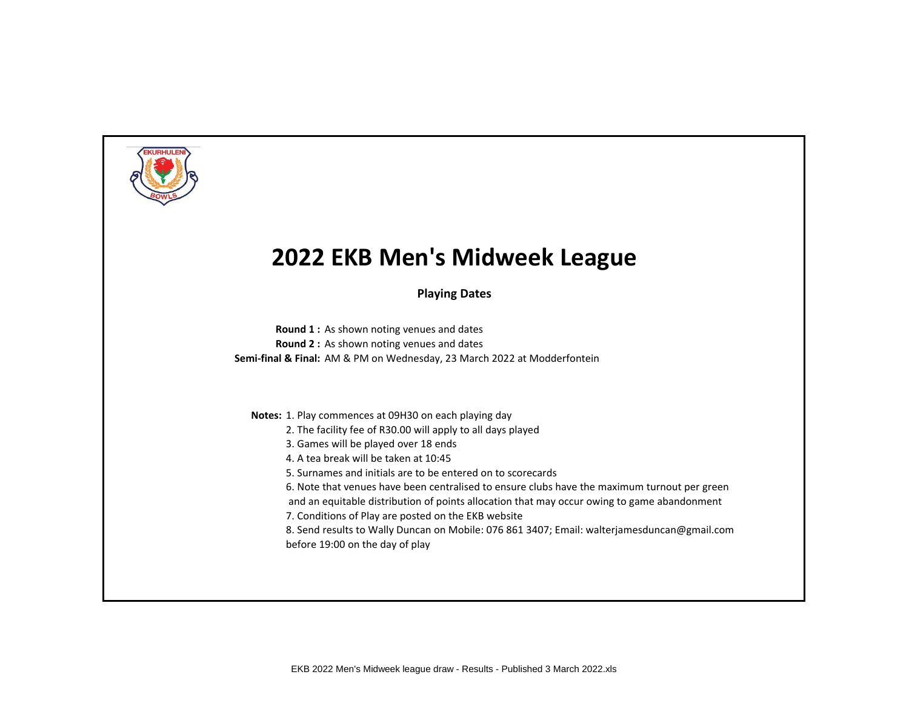

**Playing Dates**

**Round 1 :** As shown noting venues and dates **Round 2 :** As shown noting venues and dates **Semi-final & Final:** AM & PM on Wednesday, 23 March 2022 at Modderfontein

**Notes:** 1. Play commences at 09H30 on each playing day

- 2. The facility fee of R30.00 will apply to all days played
- 3. Games will be played over 18 ends
- 4. A tea break will be taken at 10:45
- 5. Surnames and initials are to be entered on to scorecards
- 6. Note that venues have been centralised to ensure clubs have the maximum turnout per green
- and an equitable distribution of points allocation that may occur owing to game abandonment
- 7. Conditions of Play are posted on the EKB website
- 8. Send results to Wally Duncan on Mobile: 076 861 3407; Email: walterjamesduncan@gmail.com before 19:00 on the day of play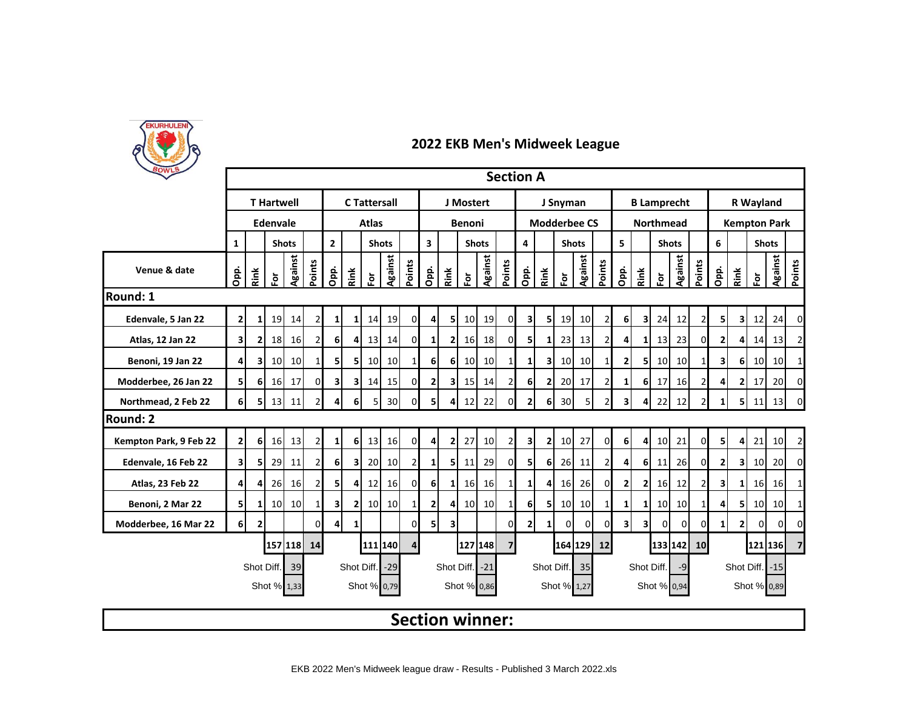

| <b>POWLS</b>           |                         |                |                   |                |                |                                |                         |                     |                 |                                         |                 |                |                        |                 |                 | <b>Section A</b> |                  |                     |                |                |                         |                    |                 |                 |                |                |                     |                     |                 |                |
|------------------------|-------------------------|----------------|-------------------|----------------|----------------|--------------------------------|-------------------------|---------------------|-----------------|-----------------------------------------|-----------------|----------------|------------------------|-----------------|-----------------|------------------|------------------|---------------------|----------------|----------------|-------------------------|--------------------|-----------------|-----------------|----------------|----------------|---------------------|---------------------|-----------------|----------------|
|                        |                         |                | <b>T</b> Hartwell |                |                |                                |                         | <b>C</b> Tattersall |                 |                                         |                 |                | J Mostert              |                 |                 |                  | J Snyman         |                     |                |                |                         | <b>B Lamprecht</b> |                 |                 | R Wayland      |                |                     |                     |                 |                |
|                        |                         |                | Edenvale          |                |                |                                |                         | <b>Atlas</b>        |                 |                                         |                 |                | Benoni                 |                 |                 |                  |                  | <b>Modderbee CS</b> |                |                |                         | <b>Northmead</b>   |                 |                 |                |                |                     | <b>Kempton Park</b> |                 |                |
|                        | $\mathbf{1}$            |                |                   | <b>Shots</b>   |                | $\overline{2}$<br><b>Shots</b> |                         |                     |                 | $\overline{\mathbf{3}}$<br><b>Shots</b> |                 |                |                        | 4               |                 | <b>Shots</b>     |                  |                     | 5              |                | <b>Shots</b>            |                    |                 | 6               |                | <b>Shots</b>   |                     |                     |                 |                |
| Venue & date           | Opp.                    | Rink           | Ĕ                 | <b>Against</b> | Points         | Opp.                           | Rink                    | è                   | Against         | Points                                  | Opp.            | Rink           | ទី                     | <b>Against</b>  | Points          | Opp.             | Rink             | 훈                   | <b>Against</b> | Points         | Opp.                    | Rink               | Ĕ               | Against         | Points         | Opi.           | Rink                | è                   | <b>Against</b>  | Points         |
| Round: 1               |                         |                |                   |                |                |                                |                         |                     |                 |                                         |                 |                |                        |                 |                 |                  |                  |                     |                |                |                         |                    |                 |                 |                |                |                     |                     |                 |                |
| Edenvale, 5 Jan 22     | 2 <sub>1</sub>          | 1 <sup>1</sup> | <b>19</b>         | 14             | $\overline{2}$ | $\mathbf{1}$                   | $1\vert$                | 14                  | 19              | 0                                       | 4               | 51             | 10                     | 19              | $\overline{0}$  | 31               | 5                | 19                  | 10             | 2              | 6                       | 31                 | 24              | 12              | 21             | 51             | 3                   | 12                  | 24              | 0              |
| Atlas, 12 Jan 22       | $\overline{\mathbf{3}}$ | 2              | 18                | <b>16</b>      | $\overline{2}$ | 6 <sup>1</sup>                 | 4                       | 13                  | 14              | $\overline{0}$                          | $\mathbf{1}$    | 2 <sup>1</sup> | 16                     | 18              | $\overline{0}$  | 5                | $\mathbf{1}$     | 23                  | 13             | $\overline{2}$ | 4                       | $1\vert$           | 13              | 23              | 01             | $\mathbf{2}$   | 4                   | 14                  | 13              | 2              |
| Benoni, 19 Jan 22      | $\overline{4}$          | 3              | 10 <sup>1</sup>   | 10             |                | 5 <sub>l</sub>                 | 5                       | 10 <sup>1</sup>     | 10 <sup>1</sup> | $\mathbf{1}$                            | 6               | 6 <sup>1</sup> | 10                     | 10              | $1\vert$        | $\mathbf{1}$     | $\mathbf{3}$     | 10                  | 10             | 1              | $\mathbf{2}$            | 5                  | 10 <sup>1</sup> | 10 <sup>1</sup> | 1              | 3              | 61                  | 10                  | 10              | 1              |
| Modderbee, 26 Jan 22   | 5 <sub>l</sub>          | 6              | 16                | 17             | $\Omega$       | 3 <sup>1</sup>                 | $\overline{\mathbf{3}}$ | 14                  | 15              | <sub>0</sub>                            | 2 <sub>1</sub>  | 3              | 15                     | 14              | $\overline{2}$  | 6                | 2                | 20                  | 17             | 2              | 1                       | 6                  | 17              | 16              | $\overline{2}$ | 4              |                     | 17                  | 20              | $\Omega$       |
| Northmead, 2 Feb 22    | 6 <sup>1</sup>          | 51             | 13                | 11             |                | 4                              | 6                       | $\overline{5}$      | 30 <sup>1</sup> | $\Omega$                                | 5               | 4 <sup>1</sup> | 12                     | 22              | $\Omega$        | 2                | $6 \overline{6}$ | 30                  | 5              | $\overline{2}$ | $\mathbf{3}$            | 4                  | 22              | 12              | $\overline{2}$ | 1 <sup>1</sup> |                     | $5 \mid 11$         | 13              | $\Omega$       |
| Round: 2               |                         |                |                   |                |                |                                |                         |                     |                 |                                         |                 |                |                        |                 |                 |                  |                  |                     |                |                |                         |                    |                 |                 |                |                |                     |                     |                 |                |
| Kempton Park, 9 Feb 22 | 2 <sub>l</sub>          | 6 <sup>1</sup> | 16                | 13             | 2              | $1\vert$                       | 6                       | 13                  | 16              | $\overline{0}$                          | $\mathbf{4}$    | $\mathbf{2}$   | 27                     | 10 <sup>1</sup> | $\overline{2}$  | $\mathbf{3}$     | $\overline{2}$   | 10                  | 27             | $\mathbf{0}$   | 6 <sup>1</sup>          | 4 <sup>1</sup>     | 10 <sup>1</sup> | 21              | ΟI             | 51             | $\overline{4}$      | 21                  | 10 <sup>1</sup> | $\mathbf 2$    |
| Edenvale, 16 Feb 22    | $\overline{\mathbf{3}}$ | 5              | 29                | 11             |                | 6 <sup>1</sup>                 | 3                       | 20                  | $10 \,$         | $\overline{2}$                          | $1\overline{ }$ | 51             | 11                     | 29              | $\overline{0}$  | 5                | 6                | 26                  | 11             | 2              | 4                       | 6                  | 11              | 26              | ΟI             | $\overline{2}$ | 3                   | 10                  | 20              | $\Omega$       |
| Atlas, 23 Feb 22       | $\overline{4}$          | 4              | 26                | 16             | $\overline{2}$ | 5 <sup>1</sup>                 | 4                       | 12                  | 16              | $\overline{0}$                          | 6 <sup>1</sup>  | $1\vert$       | 16                     | 16              | $1\overline{ }$ | 1 <sup>1</sup>   | 4                | 16                  | 26             | $\mathbf{0}$   | $\overline{2}$          | $\mathbf{2}$       | 16              | 12              | $\overline{2}$ | 3              | $\mathbf{1}$        | 16                  | 16              | 1              |
| Benoni, 2 Mar 22       | 5                       | 1              | 10 <sup>1</sup>   | 10             |                | 3 <sup>1</sup>                 | 21                      | 10                  | 10 <sup>1</sup> | $\mathbf{1}$                            | 2 <sub>1</sub>  | 41             | 10                     | 10 <sup>1</sup> | 1 <sup>1</sup>  | 6 <sup>1</sup>   | 5                | 10                  | 10             | 1              | 1                       | 1                  | 10 <sup>1</sup> | 10              | 11             | 4              | 51                  | 10 <sup>1</sup>     | 10              | 1              |
| Modderbee, 16 Mar 22   | 6I                      | $\overline{2}$ |                   |                | U              | $\overline{4}$                 | $\mathbf{1}$            |                     |                 | $\Omega$                                | 5               | 3              |                        |                 | $\Omega$        | 2                | $1\overline{ }$  | $\Omega$            | 0              | $\mathbf 0$    | $\overline{\mathbf{3}}$ | 3 <sup>1</sup>     | $\overline{0}$  | $\Omega$        | $\Omega$       | $\mathbf{1}$   | 21                  | $\Omega$            | $\Omega$        | 0              |
|                        |                         |                |                   | 157 118 14     |                |                                |                         |                     | 111 140         | 4                                       |                 |                | 127 148                |                 | $\overline{7}$  |                  |                  |                     | 164 129        | 12             |                         |                    |                 | 133 142         | 10             |                |                     | 121 136             |                 | 7 <sup>1</sup> |
|                        |                         |                |                   | Shot Diff. 39  |                |                                | Shot Diff.              |                     | $-29$           |                                         |                 |                | Shot Diff.             | $-21$           |                 |                  | Shot Diff.       |                     | 35             |                |                         | Shot Diff.         |                 | $-9$            |                |                | Shot Diff.<br>$-15$ |                     |                 |                |
|                        |                         |                | Shot % 1,33       |                |                |                                |                         | Shot % 0,79         |                 |                                         |                 |                | Shot % 0,86            |                 |                 |                  |                  | Shot % 1,27         |                |                |                         |                    | Shot % 0,94     |                 |                |                |                     | Shot % 0,89         |                 |                |
|                        |                         |                |                   |                |                |                                |                         |                     |                 |                                         |                 |                | <b>Section winner:</b> |                 |                 |                  |                  |                     |                |                |                         |                    |                 |                 |                |                |                     |                     |                 |                |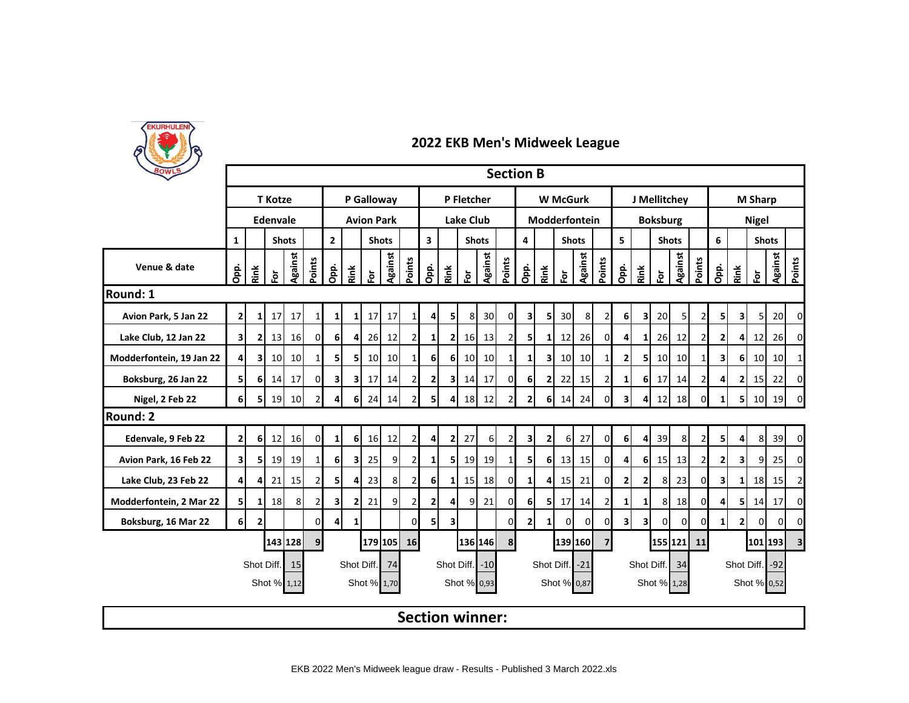

| BOWLS                    | <b>Section B</b><br>P Galloway<br><b>W</b> McGurk<br>J Mellitchev |                |                 |              |                |                                |                |                 |                 |                        |                                         |                         |                 |         |                |                         |              |               |               |                |                         |                         |                 |                |              |                |                |                |                |                         |  |
|--------------------------|-------------------------------------------------------------------|----------------|-----------------|--------------|----------------|--------------------------------|----------------|-----------------|-----------------|------------------------|-----------------------------------------|-------------------------|-----------------|---------|----------------|-------------------------|--------------|---------------|---------------|----------------|-------------------------|-------------------------|-----------------|----------------|--------------|----------------|----------------|----------------|----------------|-------------------------|--|
|                          |                                                                   |                | <b>T</b> Kotze  |              |                |                                |                |                 |                 |                        | P Fletcher                              |                         |                 |         |                |                         |              |               |               |                |                         |                         |                 |                |              | <b>M Sharp</b> |                |                |                |                         |  |
|                          |                                                                   |                | <b>Edenvale</b> |              |                | <b>Avion Park</b>              |                |                 |                 |                        | <b>Lake Club</b>                        |                         |                 |         |                |                         |              |               | Modderfontein |                |                         | <b>Boksburg</b>         |                 |                | <b>Nigel</b> |                |                |                |                |                         |  |
|                          | $\mathbf{1}$                                                      |                |                 | <b>Shots</b> |                | $\overline{2}$<br><b>Shots</b> |                |                 |                 |                        | $\overline{\mathbf{3}}$<br><b>Shots</b> |                         |                 |         |                | 4                       |              | <b>Shots</b>  |               |                | 5                       |                         | <b>Shots</b>    |                |              | 6              |                |                | <b>Shots</b>   |                         |  |
| Venue & date             | Opp.                                                              | Rink           | $\bf \bar{e}$   | Against      | Points         | Opp.                           | Rink           | 훈               | <b>Against</b>  | Points                 | Opp.                                    | Rink                    | 应               | Against | Points         | Opp.                    | Rink         | $\bf \bar{p}$ | Against       | Points         | Opp.                    | Rink                    | 应               | Against        | Points       | <u>gi</u>      | Rink           | $\overline{5}$ | Against        | Points                  |  |
| Round: 1                 |                                                                   |                |                 |              |                |                                |                |                 |                 |                        |                                         |                         |                 |         |                |                         |              |               |               |                |                         |                         |                 |                |              |                |                |                |                |                         |  |
| Avion Park, 5 Jan 22     | $\mathbf{2}$                                                      | 11             | 17              | 17           | $\mathbf{1}$   | $1\vert$                       | 11             | 17 <sup>1</sup> | 17              | $\mathbf{1}$           | 4                                       | 5                       | 8               | 30      | 0              | 3                       | 5            | 30            | 8             | 2              | 6                       | $\overline{\mathbf{3}}$ | 20              | 5 <sub>l</sub> |              | 51             | 31             | 5 <sub>l</sub> | 20             | $\mathbf 0$             |  |
| Lake Club, 12 Jan 22     | 31                                                                | 21             | 13              | 16           | $\overline{O}$ | 6 <sup>1</sup>                 | 4 <sup>1</sup> |                 | 26 12           | $\overline{2}$         | 1                                       | 2 <sup>1</sup>          | 16              | 13      | $\overline{2}$ | 5                       | 1            | 12            | 26            | 0              | 4                       | 1                       | 26              | 12             |              | $\overline{2}$ |                | 12             | 26             | 0                       |  |
| Modderfontein, 19 Jan 22 | 41                                                                | зI             | 10              | 10           | $1\vert$       | 5 <sub>l</sub>                 | 51             | 10              | 10 <sup>1</sup> | $\mathbf{1}$           | 6 <sup>1</sup>                          | 6 <sup>1</sup>          | 10 <sup>1</sup> | 10      | $1\vert$       | $\mathbf{1}$            | 3            | 10            | 10            | 1              | $\mathbf{2}$            | 5                       | 10 <sup>1</sup> | 10             |              | зI             | 61             | 10             | 10             | 1                       |  |
| Boksburg, 26 Jan 22      | 51                                                                | 61             | 14              | 17           | $\Omega$       | $\overline{\mathbf{3}}$        | 3I             | 17              | 14              | $\overline{2}$         | 2 <sub>l</sub>                          | 3 <sup>1</sup>          | 14              | 17      | οI             | 6                       | 2            | 22            | 15            | 2              | 1                       | 6 <sup>1</sup>          | 17              | 14             |              | 4              | 21             | 15             | 22             | $\mathbf 0$             |  |
| Nigel, 2 Feb 22          | 61                                                                | 51             | <b>19</b>       | 10           | $\overline{2}$ | $\overline{4}$                 | 6I             | <b>241</b>      | 14              | $\overline{2}$         | 5                                       | $\overline{4}$          | 18              | 12      | $\overline{2}$ | 2 <sub>l</sub>          | 6            | 14            | 24            | 0              | $\overline{\mathbf{3}}$ | $\overline{4}$          | 12              | 18             | 01           | 1 <sup>1</sup> | 5              | <b>10</b>      | 19             | $\mathbf 0$             |  |
| <b>Round: 2</b>          |                                                                   |                |                 |              |                |                                |                |                 |                 |                        |                                         |                         |                 |         |                |                         |              |               |               |                |                         |                         |                 |                |              |                |                |                |                |                         |  |
| Edenvale, 9 Feb 22       | $\mathbf{2}$                                                      | 6 <sup>1</sup> | 12              | 16           | $\overline{0}$ | 1 <sup>1</sup>                 | <b>6</b>       |                 | 16 12           | $\overline{2}$         | 4                                       | 2 <sup>1</sup>          | 27              | 6I      | $\overline{2}$ | $\overline{\mathbf{3}}$ | $\mathbf{2}$ | 6             | 27            | οI             | $6 \mid$                | 4 <sup>1</sup>          | 39              | 8              |              | 51             | 41             | 8              | 39             | $\mathbf 0$             |  |
| Avion Park, 16 Feb 22    | 31                                                                | 51             | 19              | 19           | $1\vert$       | 6 <sup>1</sup>                 | 31             | 25              | 9               | $\overline{2}$         | 1                                       | 5                       | 19              | 19      | 1 <sup>1</sup> | 5                       | 6            | 13            | 15            | $\Omega$       | 4                       | 6                       | 15              | 13             |              | $\overline{2}$ | 31             | 9              | 25             | $\Omega$                |  |
| Lake Club, 23 Feb 22     | 41                                                                | 4              | 21              | 15           | $\overline{2}$ | 5 <sub>l</sub>                 | 4 <sup>1</sup> | 23              | 8               | $\overline{2}$         | 6 <sup>1</sup>                          | 1                       | 15              | 18      | $\overline{0}$ | $\mathbf{1}$            | 4            | 15            | 21            | $\overline{0}$ | 2                       | 2 <sub>1</sub>          | 8 <sup>1</sup>  | 23             | $\mathbf{0}$ | 31             | 1 <sup>1</sup> | 18             | 15             | $\overline{2}$          |  |
| Modderfontein, 2 Mar 22  | 51                                                                | 11             | 18              | 8            | $\overline{2}$ | $\mathbf{3}$                   | $\mathbf{2}$   | 21              | 9 <sup>1</sup>  | $\overline{2}$         | 2 <sub>l</sub>                          | $\overline{4}$          | 9               | 21      | 01             | 6                       | 5            | 17            | 14            | 2              | 1                       | 1                       | 8 <sub>l</sub>  | 18             | ΩI           | 41             | 51             | 14             | 17             | $\Omega$                |  |
| Boksburg, 16 Mar 22      | 61                                                                | 2              |                 |              | $\Omega$       | $\overline{4}$                 | $\mathbf{1}$   |                 |                 | $\Omega$               | 51                                      | $\overline{\mathbf{3}}$ |                 |         | $\Omega$       | $\mathbf{2}$            | $\mathbf{1}$ | $\Omega$      | $\Omega$      | 0              | $\vert$                 | $\overline{\mathbf{3}}$ | $\Omega$        | $\Omega$       | 0            | 1 <sup>1</sup> | 21             | $\Omega$       | $\overline{0}$ | $\Omega$                |  |
|                          |                                                                   |                |                 | 143 128      | 9 <sub>l</sub> |                                |                |                 | 179 105         | 16                     |                                         |                         |                 | 136 146 | 8 <sup>1</sup> |                         |              |               | 139 160       | $\overline{7}$ |                         |                         | 155 121         |                | 11           |                |                | 101 193        |                | $\overline{\mathbf{3}}$ |  |
|                          |                                                                   |                | Shot Diff.      | 15           |                |                                | Shot Diff.     |                 | 74              |                        |                                         |                         | Shot Diff. -10  |         |                |                         | Shot Diff.   |               | $-21$         |                |                         | Shot Diff.              |                 | 34             |              | Shot Diff. -92 |                |                |                |                         |  |
|                          |                                                                   |                |                 | Shot % 1,12  |                |                                |                | Shot % 1,70     |                 |                        |                                         |                         | Shot % 0,93     |         |                |                         |              | Shot % 0,87   |               |                |                         |                         | Shot % 1,28     |                |              |                |                | Shot % 0,52    |                |                         |  |
|                          |                                                                   |                |                 |              |                |                                |                |                 |                 | <b>Section winner:</b> |                                         |                         |                 |         |                |                         |              |               |               |                |                         |                         |                 |                |              |                |                |                |                |                         |  |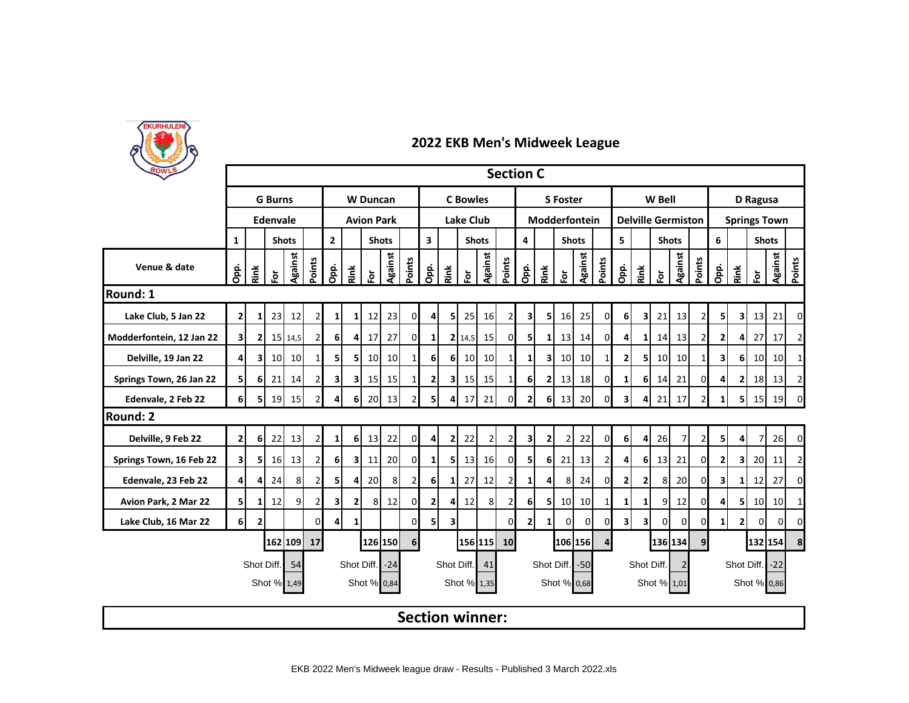

| BOWLS                    | <b>Section C</b><br><b>G</b> Burns<br><b>C</b> Bowles<br>W Bell<br><b>W</b> Duncan<br><b>S</b> Foster |                |               |                 |                |                                |                |                   |                 |                        |                         |                         |                 |                |                |                 |                |                 |             |                |                         |                           |                 |                 |                |                |                         |                     |                 |                |  |  |  |
|--------------------------|-------------------------------------------------------------------------------------------------------|----------------|---------------|-----------------|----------------|--------------------------------|----------------|-------------------|-----------------|------------------------|-------------------------|-------------------------|-----------------|----------------|----------------|-----------------|----------------|-----------------|-------------|----------------|-------------------------|---------------------------|-----------------|-----------------|----------------|----------------|-------------------------|---------------------|-----------------|----------------|--|--|--|
|                          |                                                                                                       |                |               |                 |                |                                |                |                   |                 |                        |                         |                         |                 |                |                |                 |                |                 |             |                |                         |                           |                 |                 | D Ragusa       |                |                         |                     |                 |                |  |  |  |
|                          |                                                                                                       |                | Edenvale      |                 |                |                                |                | <b>Avion Park</b> |                 |                        | <b>Lake Club</b>        |                         |                 |                |                |                 | Modderfontein  |                 |             |                |                         | <b>Delville Germiston</b> |                 |                 |                |                |                         | <b>Springs Town</b> |                 |                |  |  |  |
|                          | $\mathbf{1}$                                                                                          |                |               | <b>Shots</b>    |                | $\overline{2}$<br><b>Shots</b> |                |                   |                 |                        | $\overline{\mathbf{3}}$ |                         | <b>Shots</b>    |                |                | 4               |                | <b>Shots</b>    |             |                | 5<br><b>Shots</b>       |                           |                 |                 | 6              |                | <b>Shots</b>            |                     |                 |                |  |  |  |
| Venue & date             | Opp.                                                                                                  | Rink           | $\bf \bar{e}$ | Against         | Points         | Opp.                           | Rink           | 호                 | <b>Against</b>  | Points                 | Opp.                    | Rink                    | 应               | Against        | Points         | Opp.            | Rink           | 应               | Against     | Points         | Opp.                    | Rink                      | 应               | Against         | Points         | <u>gi</u>      | Rink                    | $\overline{5}$      | Against         | Points         |  |  |  |
| <b>Round: 1</b>          |                                                                                                       |                |               |                 |                |                                |                |                   |                 |                        |                         |                         |                 |                |                |                 |                |                 |             |                |                         |                           |                 |                 |                |                |                         |                     |                 |                |  |  |  |
| Lake Club, 5 Jan 22      | $\mathbf{2}$                                                                                          | 1 <sup>1</sup> | 23            | 12              | $\overline{a}$ | $1\vert$                       | 11             | 12                | 23              | 0                      | 4                       | 5                       | 25              | 16             | $\overline{2}$ | 3               | 5              | 16              | 25          | 0              | 6                       | $\overline{\mathbf{3}}$   | 21              | 13              |                | 51             | $\overline{\mathbf{3}}$ | 13                  | 21              | 0              |  |  |  |
| Modderfontein, 12 Jan 22 | 31                                                                                                    | 21             |               | 15 14,5         | $\overline{2}$ | 6 <sup>1</sup>                 | 4              | 17                | 27              | $\mathbf 0$            | $\mathbf{1}$            |                         | 2 14,5          | 15             | $\Omega$       | 5               | 1              | 13              | 14          | $\Omega$       | 4                       | 1                         | 14              | 13              |                | $\overline{2}$ |                         | 27                  | 17              | 2              |  |  |  |
| Delville, 19 Jan 22      | 41                                                                                                    | 31             | 10            | 10 <sup>1</sup> | $1\vert$       | 5 <sub>l</sub>                 | 51             | 10                | 10 <sup>1</sup> | $\mathbf{1}$           | 6 <sup>1</sup>          | 6I                      | 10 <sup>1</sup> | 10             | $1\vert$       | $1\overline{ }$ | 3              | 10 <sup>1</sup> | 10          | $\mathbf{1}$   | 2                       | 51                        | 10 <sup>1</sup> | 10 <sup>1</sup> |                | 31             | 61                      | 10                  | 10 <sup>1</sup> | $\mathbf{1}$   |  |  |  |
| Springs Town, 26 Jan 22  | 51                                                                                                    | 61             | 21            | 14              | $\overline{2}$ | 3 <sup>1</sup>                 | 31             | 15                | 15              | $1\vert$               | $\mathbf{2}$            | 31                      | 15 <sub>l</sub> | 15             | $1\vert$       | 6               | $\mathbf{2}$   | 13              | 18          | 0              | 1                       | <b>6</b>                  | 14              | 21              | ΩI             | 4              | 21                      | 18 <sup>l</sup>     | 13              | 2              |  |  |  |
| Edenvale, 2 Feb 22       | 61                                                                                                    | 51             | <b>19</b>     | 15              | $\overline{2}$ | $\overline{4}$                 | <b>6</b>       | 20                | 13              | $\overline{2}$         | 5                       | $\overline{4}$          | 17              | 21             | $\Omega$       | $\overline{2}$  | 6              | 13              | 20          | 0              | 3                       | $\overline{4}$            | 21              | 17              |                | 1 <sup>1</sup> | 5                       | 15                  | 19              | 0              |  |  |  |
| <b>Round: 2</b>          |                                                                                                       |                |               |                 |                |                                |                |                   |                 |                        |                         |                         |                 |                |                |                 |                |                 |             |                |                         |                           |                 |                 |                |                |                         |                     |                 |                |  |  |  |
| Delville, 9 Feb 22       | 21                                                                                                    | 6 <sup>1</sup> | 22            | 13              | $\overline{2}$ | 1 <sup>1</sup>                 | 6 <sup>1</sup> | 13                | 22              | $\overline{0}$         | 4                       | $\mathbf{2}$            | 22              | $\overline{2}$ | $\overline{2}$ | 3               | $\mathbf{2}$   | 2               | 22          | οI             | 6                       | 4                         | 26              | 7               |                | 51             | 41                      | $\overline{7}$      | 26              | $\mathbf 0$    |  |  |  |
| Springs Town, 16 Feb 22  | 31                                                                                                    | 51             | <b>16</b>     | 13              | $\overline{2}$ | 6 <sup>1</sup>                 | 3 <sup>1</sup> | 11                | 20              | $\overline{0}$         | 1 <sup>1</sup>          | - 5 I                   | 13              | 16             | οI             | 5 <sub>l</sub>  | 6              | 21              | 13          | $\overline{2}$ | 4                       | 6                         | 13              | 21              | ΩI             | $\overline{2}$ | $\overline{\mathbf{3}}$ | 20                  | 11              | 2              |  |  |  |
| Edenvale, 23 Feb 22      | 41                                                                                                    | 4              | 24            | 8               | $\overline{2}$ | 5                              | 41             | <b>20</b>         | 8               | $\overline{2}$         | <b>6</b>                | $1\vert$                | 27              | 12             | $\overline{2}$ | $1\overline{ }$ | $\overline{4}$ | 8               | 24          | $\overline{0}$ | 2 <sub>l</sub>          | $\mathbf{2}$              | 8               | 20              | $\mathbf{0}$   | 3              | 1 <sup>1</sup>          | 12                  | 27              | $\mathbf 0$    |  |  |  |
| Avion Park, 2 Mar 22     | 51                                                                                                    | 1 <sup>1</sup> | 12            | 9               | $\overline{2}$ | 3 <sup>1</sup>                 | $\mathbf{2}$   | 8                 | 12              | $\overline{0}$         | $\mathbf{2}$            | 41                      | 12              | 8              | $\overline{2}$ | 6               | 5              | 10              | 10          | 1              | 1                       | 1                         | 9               | 12              | 0              | 4              | 51                      | 10                  | 10              | 1              |  |  |  |
| Lake Club, 16 Mar 22     | 6                                                                                                     | $\mathbf{2}$   |               |                 | $\Omega$       | $\overline{4}$                 | $1\vert$       |                   |                 | $\Omega$               | 5 <sub>1</sub>          | $\overline{\mathbf{3}}$ |                 |                | $\Omega$       | $\overline{2}$  | 1              | 0               | $\Omega$    | 0              | $\overline{\mathbf{3}}$ | $\overline{\mathbf{3}}$   | $\Omega$        | $\Omega$        | U              | $\mathbf{1}$   | 21                      | $\Omega$            | $\Omega$        | $\Omega$       |  |  |  |
|                          |                                                                                                       |                |               | 162 109         | 17             |                                |                |                   | 126 150         | 6                      |                         |                         | 156 115         |                | 10             |                 |                |                 | 106 156     | $\overline{4}$ |                         |                           | 136 134         |                 | 9 <sub>l</sub> |                |                         | 132 154             |                 | 8 <sub>l</sub> |  |  |  |
|                          |                                                                                                       |                | Shot Diff.    | 54              |                |                                | Shot Diff.     |                   | $-24$           |                        |                         |                         | Shot Diff.      | 41             |                |                 |                | Shot Diff.      | $-50$       |                |                         | Shot Diff.                |                 | $\overline{2}$  |                |                | Shot Diff.<br>$-22$     |                     |                 |                |  |  |  |
|                          |                                                                                                       |                |               | Shot % 1,49     |                |                                |                | Shot % 0,84       |                 |                        |                         |                         | Shot % 1,35     |                |                |                 |                |                 | Shot % 0,68 |                |                         |                           | Shot % 1,01     |                 |                |                |                         | Shot % 0,86         |                 |                |  |  |  |
|                          |                                                                                                       |                |               |                 |                |                                |                |                   |                 | <b>Section winner:</b> |                         |                         |                 |                |                |                 |                |                 |             |                |                         |                           |                 |                 |                |                |                         |                     |                 |                |  |  |  |